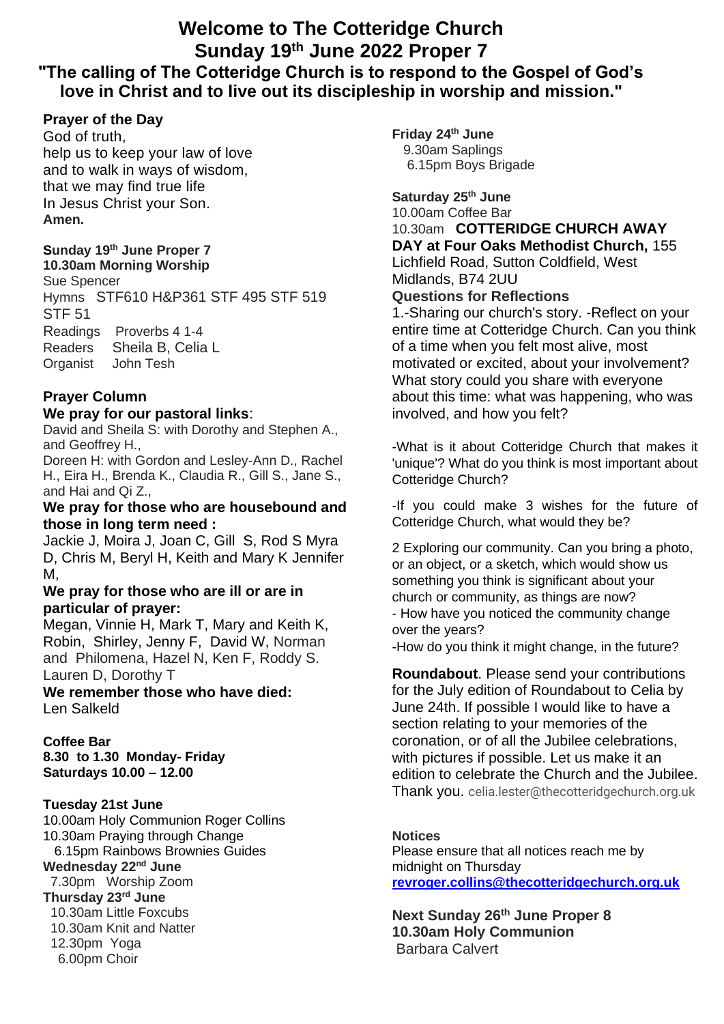# **Welcome to The Cotteridge Church Sunday 19 th June 2022 Proper 7 "The calling of The Cotteridge Church is to respond to the Gospel of God's love in Christ and to live out its discipleship in worship and mission."**

## **Prayer of the Day**

God of truth, help us to keep your law of love and to walk in ways of wisdom, that we may find true life In Jesus Christ your Son. **Amen.**

## **Sunday 19 th June Proper 7**

**10.30am Morning Worship** Sue Spencer Hymns STF610 H&P361 STF 495 STF 519 STF 51 Readings Proverbs 4 1-4 Readers Sheila B, Celia L Organist John Tesh

## **Prayer Column**

## **We pray for our pastoral links**:

David and Sheila S: with Dorothy and Stephen A., and Geoffrey H.,

Doreen H: with Gordon and Lesley-Ann D., Rachel H., Eira H., Brenda K., Claudia R., Gill S., Jane S., and Hai and Qi Z.,

## **We pray for those who are housebound and those in long term need :**

Jackie J, Moira J, Joan C, Gill S, Rod S Myra D, Chris M, Beryl H, Keith and Mary K Jennifer M,

## **We pray for those who are ill or are in particular of prayer:**

Megan, Vinnie H, Mark T, Mary and Keith K, Robin, Shirley, Jenny F, David W, Norman and Philomena, Hazel N, Ken F, Roddy S. Lauren D, Dorothy T

**We remember those who have died:** Len Salkeld

## **Coffee Bar**

**8.30 to 1.30 Monday- Friday Saturdays 10.00 – 12.00**

## **Tuesday 21st June**

10.00am Holy Communion Roger Collins 10.30am Praying through Change 6.15pm Rainbows Brownies Guides **Wednesday 22nd June** 7.30pm Worship Zoom **Thursday 23rd June** 10.30am Little Foxcubs 10.30am Knit and Natter 12.30pm Yoga 6.00pm Choir

**Friday 24th June** 9.30am Saplings

6.15pm Boys Brigade

## **Saturday 25th June**

10.00am Coffee Bar

#### 10.30am **COTTERIDGE CHURCH AWAY**

**DAY at Four Oaks Methodist Church,** 155 Lichfield Road, Sutton Coldfield, West Midlands, B74 2UU

# **Questions for Reflections**

1.-Sharing our church's story. -Reflect on your entire time at Cotteridge Church. Can you think of a time when you felt most alive, most motivated or excited, about your involvement? What story could you share with everyone about this time: what was happening, who was involved, and how you felt?

-What is it about Cotteridge Church that makes it 'unique'? What do you think is most important about Cotteridge Church?

-If you could make 3 wishes for the future of Cotteridge Church, what would they be?

2 Exploring our community. Can you bring a photo, or an object, or a sketch, which would show us something you think is significant about your church or community, as things are now? - How have you noticed the community change over the years? -How do you think it might change, in the future?

**Roundabout**. Please send your contributions for the July edition of Roundabout to Celia by June 24th. If possible I would like to have a section relating to your memories of the coronation, or of all the Jubilee celebrations, with pictures if possible. Let us make it an edition to celebrate the Church and the Jubilee. Thank you. celia.lester@thecotteridgechurch.org.uk

## **Notices**

Please ensure that all notices reach me by midnight on Thursday **[revroger.collins@thecotteridgechurch.org.uk](mailto:revroger.collins@thecotteridgechurch.org.uk)**

#### **Next Sunday 26th June Proper 8 10.30am Holy Communion** Barbara Calvert